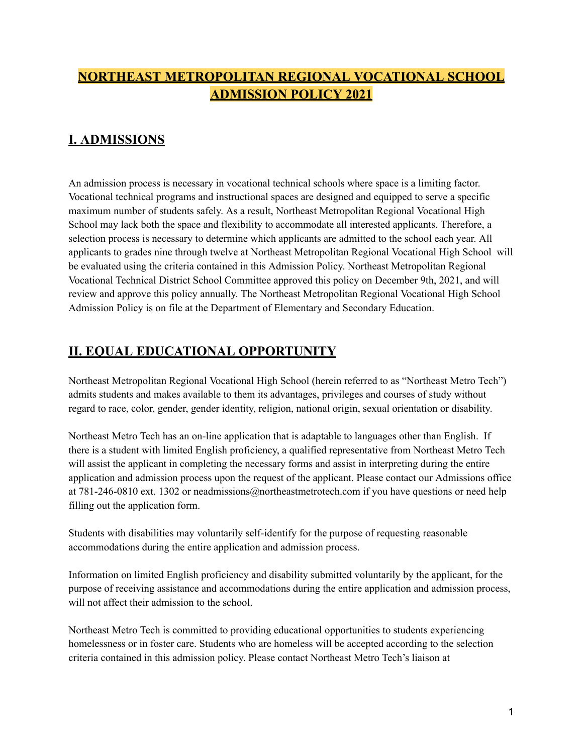# **NORTHEAST METROPOLITAN REGIONAL VOCATIONAL SCHOOL ADMISSION POLICY 2021**

# **I. ADMISSIONS**

An admission process is necessary in vocational technical schools where space is a limiting factor. Vocational technical programs and instructional spaces are designed and equipped to serve a specific maximum number of students safely. As a result, Northeast Metropolitan Regional Vocational High School may lack both the space and flexibility to accommodate all interested applicants. Therefore, a selection process is necessary to determine which applicants are admitted to the school each year. All applicants to grades nine through twelve at Northeast Metropolitan Regional Vocational High School will be evaluated using the criteria contained in this Admission Policy. Northeast Metropolitan Regional Vocational Technical District School Committee approved this policy on December 9th, 2021, and will review and approve this policy annually. The Northeast Metropolitan Regional Vocational High School Admission Policy is on file at the Department of Elementary and Secondary Education.

## **II. EQUAL EDUCATIONAL OPPORTUNITY**

Northeast Metropolitan Regional Vocational High School (herein referred to as "Northeast Metro Tech") admits students and makes available to them its advantages, privileges and courses of study without regard to race, color, gender, gender identity, religion, national origin, sexual orientation or disability.

Northeast Metro Tech has an on-line application that is adaptable to languages other than English. If there is a student with limited English proficiency, a qualified representative from Northeast Metro Tech will assist the applicant in completing the necessary forms and assist in interpreting during the entire application and admission process upon the request of the applicant. Please contact our Admissions office at 781-246-0810 ext. 1302 or neadmissions@northeastmetrotech.com if you have questions or need help filling out the application form.

Students with disabilities may voluntarily self-identify for the purpose of requesting reasonable accommodations during the entire application and admission process.

Information on limited English proficiency and disability submitted voluntarily by the applicant, for the purpose of receiving assistance and accommodations during the entire application and admission process, will not affect their admission to the school.

Northeast Metro Tech is committed to providing educational opportunities to students experiencing homelessness or in foster care. Students who are homeless will be accepted according to the selection criteria contained in this admission policy. Please contact Northeast Metro Tech's liaison at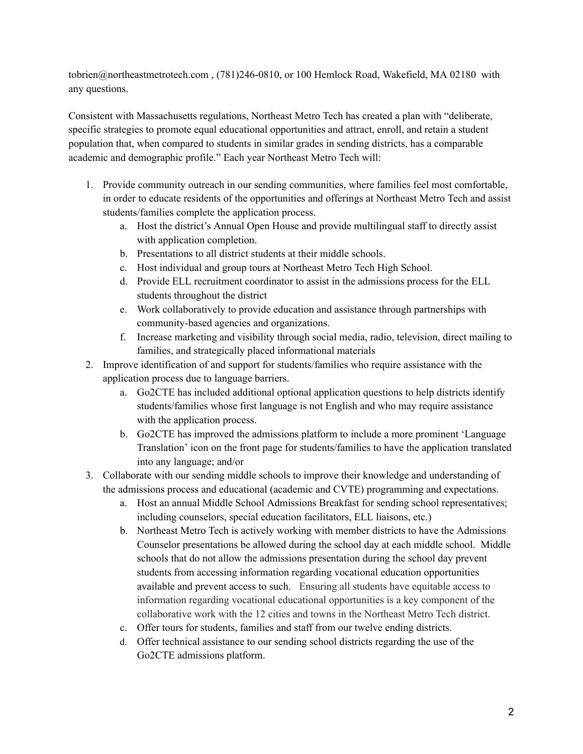tobrien@northeastmetrotech.com , (781)246-0810, or 100 Hemlock Road, Wakefield, MA 02180 with any questions.

Consistent with Massachusetts regulations, Northeast Metro Tech has created a plan with "deliberate, specific strategies to promote equal educational opportunities and attract, enroll, and retain a student population that, when compared to students in similar grades in sending districts, has a comparable academic and demographic profile." Each year Northeast Metro Tech will:

- 1. Provide community outreach in our sending communities, where families feel most comfortable, in order to educate residents of the opportunities and offerings at Northeast Metro Tech and assist students/families complete the application process.
	- a. Host the district's Annual Open House and provide multilingual staff to directly assist with application completion.
	- b. Presentations to all district students at their middle schools.
	- c. Host individual and group tours at Northeast Metro Tech High School.
	- d. Provide ELL recruitment coordinator to assist in the admissions process for the ELL students throughout the district
	- e. Work collaboratively to provide education and assistance through partnerships with community-based agencies and organizations.
	- f. Increase marketing and visibility through social media, radio, television, direct mailing to families, and strategically placed informational materials
- 2. Improve identification of and support for students/families who require assistance with the application process due to language barriers.
	- a. Go2CTE has included additional optional application questions to help districts identify students/families whose first language is not English and who may require assistance with the application process.
	- b. Go2CTE has improved the admissions platform to include a more prominent 'Language Translation' icon on the front page for students/families to have the application translated into any language; and/or
- 3. Collaborate with our sending middle schools to improve their knowledge and understanding of the admissions process and educational (academic and CVTE) programming and expectations.
	- a. Host an annual Middle School Admissions Breakfast for sending school representatives; including counselors, special education facilitators, ELL liaisons, etc.)
	- b. Northeast Metro Tech is actively working with member districts to have the Admissions Counselor presentations be allowed during the school day at each middle school. Middle schools that do not allow the admissions presentation during the school day prevent students from accessing information regarding vocational education opportunities available and prevent access to such. Ensuring all students have equitable access to information regarding vocational educational opportunities is a key component of the collaborative work with the 12 cities and towns in the Northeast Metro Tech district.
	- c. Offer tours for students, families and staff from our twelve ending districts.
	- d. Offer technical assistance to our sending school districts regarding the use of the Go2CTE admissions platform.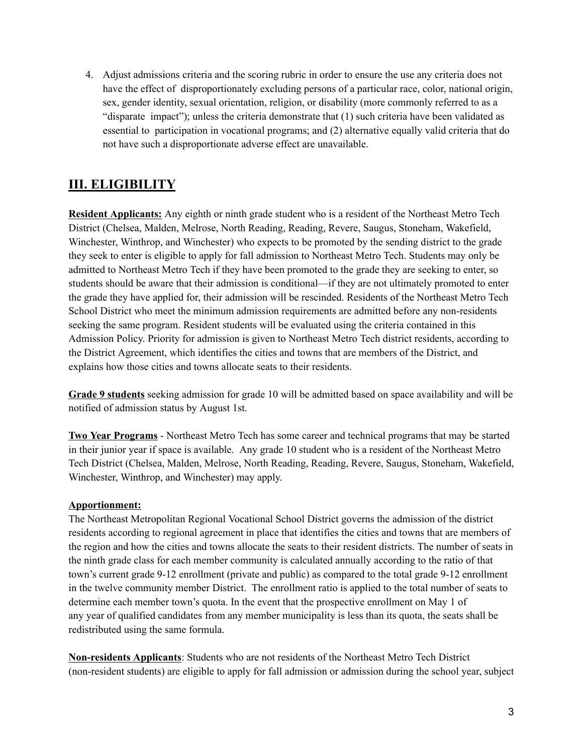4. Adjust admissions criteria and the scoring rubric in order to ensure the use any criteria does not have the effect of disproportionately excluding persons of a particular race, color, national origin, sex, gender identity, sexual orientation, religion, or disability (more commonly referred to as a "disparate impact"); unless the criteria demonstrate that (1) such criteria have been validated as essential to participation in vocational programs; and (2) alternative equally valid criteria that do not have such a disproportionate adverse effect are unavailable.

# **III. ELIGIBILITY**

**Resident Applicants:** Any eighth or ninth grade student who is a resident of the Northeast Metro Tech District (Chelsea, Malden, Melrose, North Reading, Reading, Revere, Saugus, Stoneham, Wakefield, Winchester, Winthrop, and Winchester) who expects to be promoted by the sending district to the grade they seek to enter is eligible to apply for fall admission to Northeast Metro Tech. Students may only be admitted to Northeast Metro Tech if they have been promoted to the grade they are seeking to enter, so students should be aware that their admission is conditional—if they are not ultimately promoted to enter the grade they have applied for, their admission will be rescinded. Residents of the Northeast Metro Tech School District who meet the minimum admission requirements are admitted before any non-residents seeking the same program. Resident students will be evaluated using the criteria contained in this Admission Policy. Priority for admission is given to Northeast Metro Tech district residents, according to the District Agreement, which identifies the cities and towns that are members of the District, and explains how those cities and towns allocate seats to their residents.

**Grade 9 students** seeking admission for grade 10 will be admitted based on space availability and will be notified of admission status by August 1st.

**Two Year Programs** - Northeast Metro Tech has some career and technical programs that may be started in their junior year if space is available. Any grade 10 student who is a resident of the Northeast Metro Tech District (Chelsea, Malden, Melrose, North Reading, Reading, Revere, Saugus, Stoneham, Wakefield, Winchester, Winthrop, and Winchester) may apply.

### **Apportionment:**

The Northeast Metropolitan Regional Vocational School District governs the admission of the district residents according to regional agreement in place that identifies the cities and towns that are members of the region and how the cities and towns allocate the seats to their resident districts. The number of seats in the ninth grade class for each member community is calculated annually according to the ratio of that town's current grade 9-12 enrollment (private and public) as compared to the total grade 9-12 enrollment in the twelve community member District. The enrollment ratio is applied to the total number of seats to determine each member town's quota. In the event that the prospective enrollment on May 1 of any year of qualified candidates from any member municipality is less than its quota, the seats shall be redistributed using the same formula.

**Non-residents Applicants**: Students who are not residents of the Northeast Metro Tech District (non-resident students) are eligible to apply for fall admission or admission during the school year, subject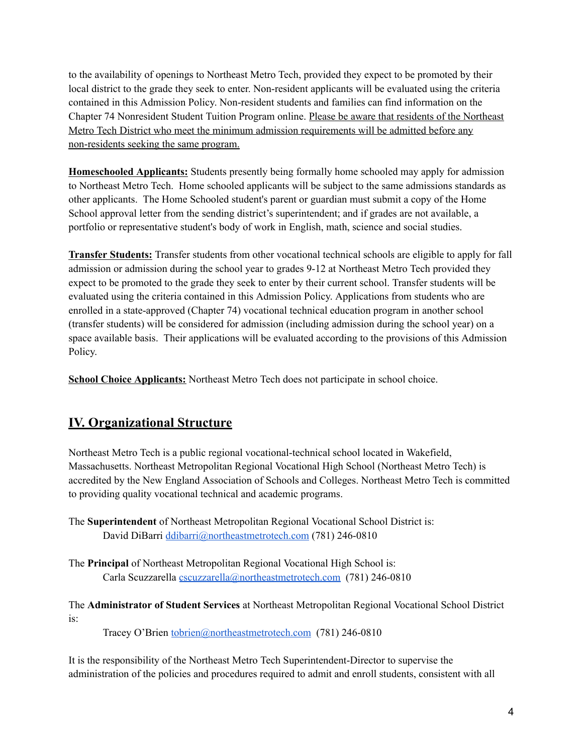to the availability of openings to Northeast Metro Tech, provided they expect to be promoted by their local district to the grade they seek to enter. Non-resident applicants will be evaluated using the criteria contained in this Admission Policy. Non-resident students and families can find information on the Chapter 74 Nonresident Student Tuition Program online. Please be aware that residents of the Northeast Metro Tech District who meet the minimum admission requirements will be admitted before any non-residents seeking the same program.

**Homeschooled Applicants:** Students presently being formally home schooled may apply for admission to Northeast Metro Tech. Home schooled applicants will be subject to the same admissions standards as other applicants. The Home Schooled student's parent or guardian must submit a copy of the Home School approval letter from the sending district's superintendent; and if grades are not available, a portfolio or representative student's body of work in English, math, science and social studies.

**Transfer Students:** Transfer students from other vocational technical schools are eligible to apply for fall admission or admission during the school year to grades 9-12 at Northeast Metro Tech provided they expect to be promoted to the grade they seek to enter by their current school. Transfer students will be evaluated using the criteria contained in this Admission Policy. Applications from students who are enrolled in a state-approved (Chapter 74) vocational technical education program in another school (transfer students) will be considered for admission (including admission during the school year) on a space available basis. Their applications will be evaluated according to the provisions of this Admission Policy.

**School Choice Applicants:** Northeast Metro Tech does not participate in school choice.

## **IV. Organizational Structure**

Northeast Metro Tech is a public regional vocational-technical school located in Wakefield, Massachusetts. Northeast Metropolitan Regional Vocational High School (Northeast Metro Tech) is accredited by the New England Association of Schools and Colleges. Northeast Metro Tech is committed to providing quality vocational technical and academic programs.

The **Superintendent** of Northeast Metropolitan Regional Vocational School District is: David DiBarri [ddibarri@northeastmetrotech.com](mailto:ddibarri@northeastmetrotech.com) (781) 246-0810

The **Principal** of Northeast Metropolitan Regional Vocational High School is: Carla Scuzzarella [cscuzzarella@northeastmetrotech.com](mailto:cscuzzarella@northeastmetrotech.com) (781) 246-0810

The **Administrator of Student Services** at Northeast Metropolitan Regional Vocational School District is:

Tracey O'Brien [tobrien@northeastmetrotech.com](mailto:tobrien@northeastmetrotech.com) (781) 246-0810

It is the responsibility of the Northeast Metro Tech Superintendent-Director to supervise the administration of the policies and procedures required to admit and enroll students, consistent with all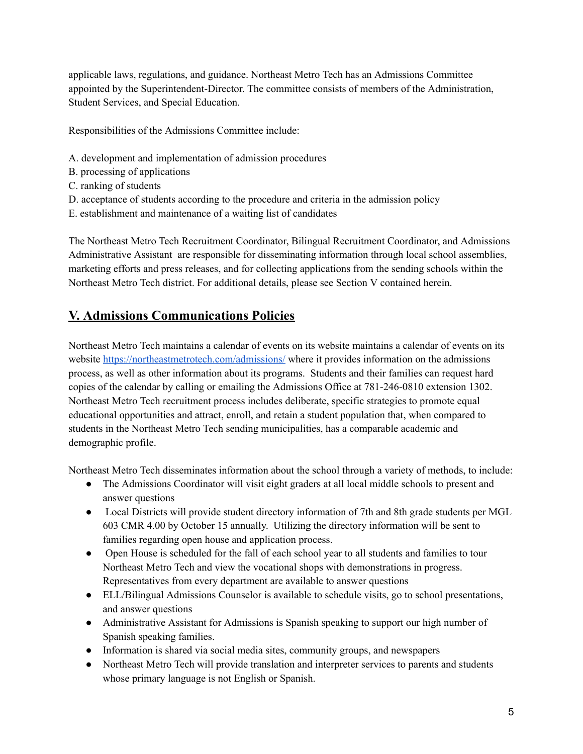applicable laws, regulations, and guidance. Northeast Metro Tech has an Admissions Committee appointed by the Superintendent-Director. The committee consists of members of the Administration, Student Services, and Special Education.

Responsibilities of the Admissions Committee include:

- A. development and implementation of admission procedures
- B. processing of applications
- C. ranking of students
- D. acceptance of students according to the procedure and criteria in the admission policy
- E. establishment and maintenance of a waiting list of candidates

The Northeast Metro Tech Recruitment Coordinator, Bilingual Recruitment Coordinator, and Admissions Administrative Assistant are responsible for disseminating information through local school assemblies, marketing efforts and press releases, and for collecting applications from the sending schools within the Northeast Metro Tech district. For additional details, please see Section V contained herein.

## **V. Admissions Communications Policies**

Northeast Metro Tech maintains a calendar of events on its website maintains a calendar of events on its website <https://northeastmetrotech.com/admissions/> where it provides information on the admissions process, as well as other information about its programs. Students and their families can request hard copies of the calendar by calling or emailing the Admissions Office at 781-246-0810 extension 1302. Northeast Metro Tech recruitment process includes deliberate, specific strategies to promote equal educational opportunities and attract, enroll, and retain a student population that, when compared to students in the Northeast Metro Tech sending municipalities, has a comparable academic and demographic profile.

Northeast Metro Tech disseminates information about the school through a variety of methods, to include:

- The Admissions Coordinator will visit eight graders at all local middle schools to present and answer questions
- Local Districts will provide student directory information of 7th and 8th grade students per MGL 603 CMR 4.00 by October 15 annually. Utilizing the directory information will be sent to families regarding open house and application process.
- Open House is scheduled for the fall of each school year to all students and families to tour Northeast Metro Tech and view the vocational shops with demonstrations in progress. Representatives from every department are available to answer questions
- ELL/Bilingual Admissions Counselor is available to schedule visits, go to school presentations, and answer questions
- Administrative Assistant for Admissions is Spanish speaking to support our high number of Spanish speaking families.
- Information is shared via social media sites, community groups, and newspapers
- Northeast Metro Tech will provide translation and interpreter services to parents and students whose primary language is not English or Spanish.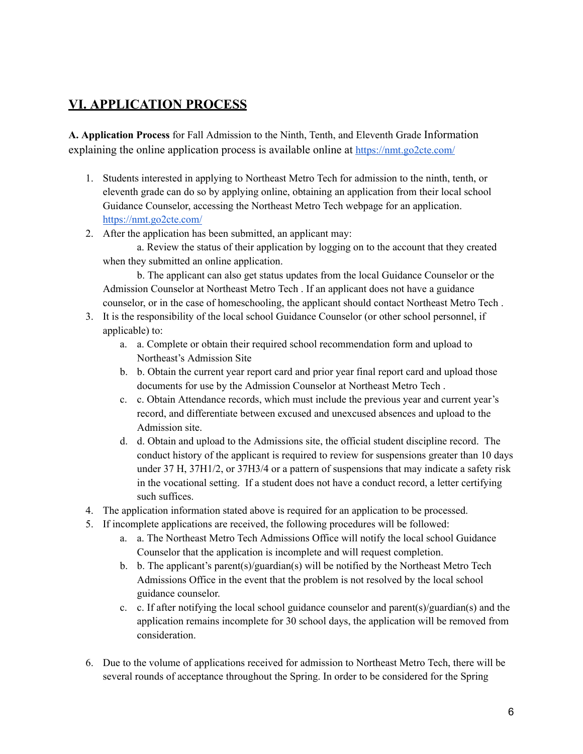## **VI. APPLICATION PROCESS**

**A. Application Process** for Fall Admission to the Ninth, Tenth, and Eleventh Grade Information explaining the online application process is available online at <https://nmt.go2cte.com/>

- 1. Students interested in applying to Northeast Metro Tech for admission to the ninth, tenth, or eleventh grade can do so by applying online, obtaining an application from their local school Guidance Counselor, accessing the Northeast Metro Tech webpage for an application. <https://nmt.go2cte.com/>
- 2. After the application has been submitted, an applicant may:

a. Review the status of their application by logging on to the account that they created when they submitted an online application.

b. The applicant can also get status updates from the local Guidance Counselor or the Admission Counselor at Northeast Metro Tech . If an applicant does not have a guidance counselor, or in the case of homeschooling, the applicant should contact Northeast Metro Tech .

- 3. It is the responsibility of the local school Guidance Counselor (or other school personnel, if applicable) to:
	- a. a. Complete or obtain their required school recommendation form and upload to Northeast's Admission Site
	- b. b. Obtain the current year report card and prior year final report card and upload those documents for use by the Admission Counselor at Northeast Metro Tech .
	- c. c. Obtain Attendance records, which must include the previous year and current year's record, and differentiate between excused and unexcused absences and upload to the Admission site.
	- d. d. Obtain and upload to the Admissions site, the official student discipline record. The conduct history of the applicant is required to review for suspensions greater than 10 days under 37 H, 37H1/2, or 37H3/4 or a pattern of suspensions that may indicate a safety risk in the vocational setting. If a student does not have a conduct record, a letter certifying such suffices.
- 4. The application information stated above is required for an application to be processed.
- 5. If incomplete applications are received, the following procedures will be followed:
	- a. a. The Northeast Metro Tech Admissions Office will notify the local school Guidance Counselor that the application is incomplete and will request completion.
	- b. b. The applicant's parent(s)/guardian(s) will be notified by the Northeast Metro Tech Admissions Office in the event that the problem is not resolved by the local school guidance counselor.
	- c. c. If after notifying the local school guidance counselor and parent(s)/guardian(s) and the application remains incomplete for 30 school days, the application will be removed from consideration.
- 6. Due to the volume of applications received for admission to Northeast Metro Tech, there will be several rounds of acceptance throughout the Spring. In order to be considered for the Spring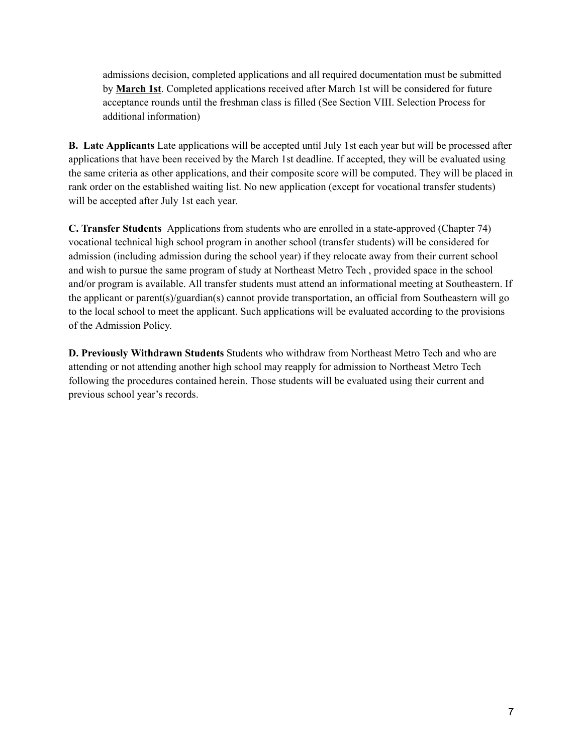admissions decision, completed applications and all required documentation must be submitted by **March 1st**. Completed applications received after March 1st will be considered for future acceptance rounds until the freshman class is filled (See Section VIII. Selection Process for additional information)

**B. Late Applicants** Late applications will be accepted until July 1st each year but will be processed after applications that have been received by the March 1st deadline. If accepted, they will be evaluated using the same criteria as other applications, and their composite score will be computed. They will be placed in rank order on the established waiting list. No new application (except for vocational transfer students) will be accepted after July 1st each year.

**C. Transfer Students** Applications from students who are enrolled in a state-approved (Chapter 74) vocational technical high school program in another school (transfer students) will be considered for admission (including admission during the school year) if they relocate away from their current school and wish to pursue the same program of study at Northeast Metro Tech , provided space in the school and/or program is available. All transfer students must attend an informational meeting at Southeastern. If the applicant or parent(s)/guardian(s) cannot provide transportation, an official from Southeastern will go to the local school to meet the applicant. Such applications will be evaluated according to the provisions of the Admission Policy.

**D. Previously Withdrawn Students** Students who withdraw from Northeast Metro Tech and who are attending or not attending another high school may reapply for admission to Northeast Metro Tech following the procedures contained herein. Those students will be evaluated using their current and previous school year's records.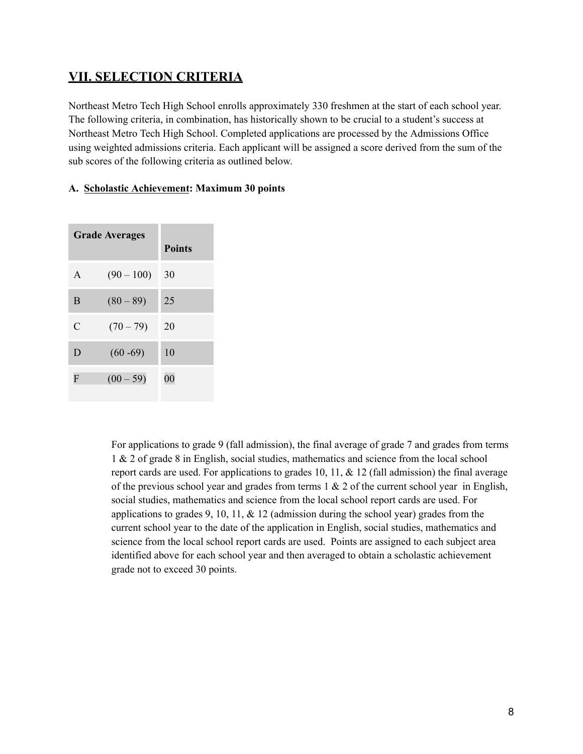## **VII. SELECTION CRITERIA**

Northeast Metro Tech High School enrolls approximately 330 freshmen at the start of each school year. The following criteria, in combination, has historically shown to be crucial to a student's success at Northeast Metro Tech High School. Completed applications are processed by the Admissions Office using weighted admissions criteria. Each applicant will be assigned a score derived from the sum of the sub scores of the following criteria as outlined below.

#### **A. Scholastic Achievement: Maximum 30 points**

| <b>Grade Averages</b> |              | <b>Points</b>  |
|-----------------------|--------------|----------------|
| $\mathsf{A}$          | $(90 - 100)$ | 30             |
| B                     | $(80 - 89)$  | 25             |
| $\mathcal{C}$         | $(70-79)$    | 20             |
| D                     | $(60 - 69)$  | 10             |
| F                     | $(00 - 59)$  | 0 <sub>0</sub> |

For applications to grade 9 (fall admission), the final average of grade 7 and grades from terms 1 & 2 of grade 8 in English, social studies, mathematics and science from the local school report cards are used. For applications to grades 10, 11,  $\&$  12 (fall admission) the final average of the previous school year and grades from terms  $1 \& 2$  of the current school year in English, social studies, mathematics and science from the local school report cards are used. For applications to grades 9, 10, 11,  $\&$  12 (admission during the school year) grades from the current school year to the date of the application in English, social studies, mathematics and science from the local school report cards are used. Points are assigned to each subject area identified above for each school year and then averaged to obtain a scholastic achievement grade not to exceed 30 points.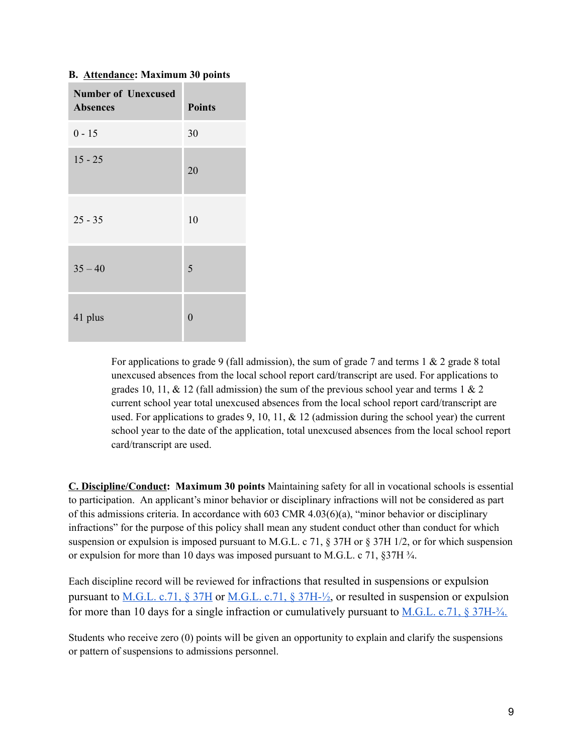#### **B. Attendance: Maximum 30 points**

| <b>Number of Unexcused</b><br><b>Absences</b> | <b>Points</b> |
|-----------------------------------------------|---------------|
| $0 - 15$                                      | 30            |
| $15 - 25$                                     | 20            |
| $25 - 35$                                     | 10            |
| $35 - 40$                                     | 5             |
| 41 plus                                       | $\Omega$      |

For applications to grade 9 (fall admission), the sum of grade 7 and terms  $1 \& 2$  grade 8 total unexcused absences from the local school report card/transcript are used. For applications to grades 10, 11,  $\&$  12 (fall admission) the sum of the previous school year and terms 1  $\&$  2 current school year total unexcused absences from the local school report card/transcript are used. For applications to grades 9, 10, 11,  $\&$  12 (admission during the school year) the current school year to the date of the application, total unexcused absences from the local school report card/transcript are used.

**C. Discipline/Conduct: Maximum 30 points** Maintaining safety for all in vocational schools is essential to participation. An applicant's minor behavior or disciplinary infractions will not be considered as part of this admissions criteria. In accordance with 603 CMR 4.03(6)(a), "minor behavior or disciplinary infractions" for the purpose of this policy shall mean any student conduct other than conduct for which suspension or expulsion is imposed pursuant to M.G.L. c 71, § 37H or § 37H 1/2, or for which suspension or expulsion for more than 10 days was imposed pursuant to M.G.L. c 71, §37H ¾.

Each discipline record will be reviewed for infractions that resulted in suspensions or expulsion pursuant to <u>[M.G.L. c.71, § 37H](https://malegislature.gov/Laws/GeneralLaws/PartI/TitleXII/Chapter71/Section37H)</u> or <u>M.G.L. c.71, § 37H-½</u>, or resulted in suspension or expulsion for more than 10 days for a single infraction or cumulatively pursuant to  $M.G.L. c.71$ , § 37H- $\frac{3}{4}$ .

Students who receive zero (0) points will be given an opportunity to explain and clarify the suspensions or pattern of suspensions to admissions personnel.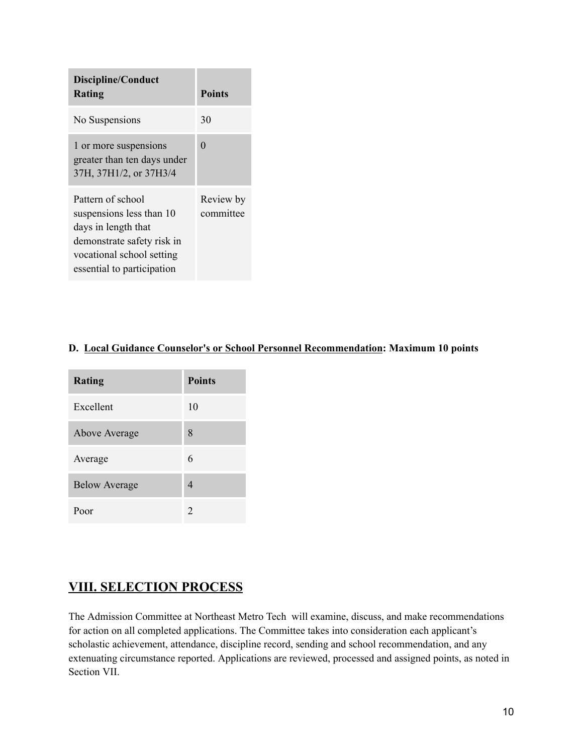| Discipline/Conduct<br>Rating                                                                                                                                  | <b>Points</b>          |
|---------------------------------------------------------------------------------------------------------------------------------------------------------------|------------------------|
| No Suspensions                                                                                                                                                | 30                     |
| 1 or more suspensions<br>greater than ten days under<br>37H, 37H1/2, or 37H3/4                                                                                | $\Omega$               |
| Pattern of school<br>suspensions less than 10<br>days in length that<br>demonstrate safety risk in<br>vocational school setting<br>essential to participation | Review by<br>committee |

## **D. Local Guidance Counselor's or School Personnel Recommendation: Maximum 10 points**

| <b>Rating</b>        | <b>Points</b>               |
|----------------------|-----------------------------|
| Excellent            | 10                          |
| Above Average        | 8                           |
| Average              | 6                           |
| <b>Below Average</b> | 4                           |
| Poor                 | $\mathcal{D}_{\mathcal{L}}$ |

## **VIII. SELECTION PROCESS**

The Admission Committee at Northeast Metro Tech will examine, discuss, and make recommendations for action on all completed applications. The Committee takes into consideration each applicant's scholastic achievement, attendance, discipline record, sending and school recommendation, and any extenuating circumstance reported. Applications are reviewed, processed and assigned points, as noted in Section VII.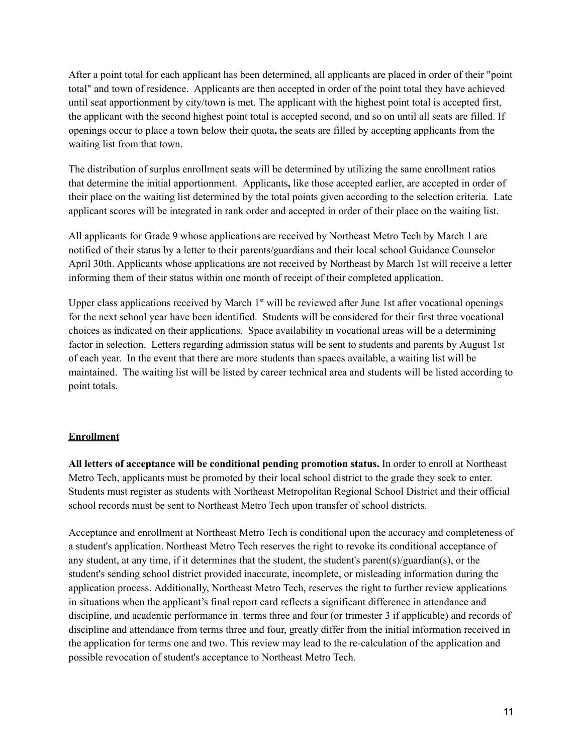After a point total for each applicant has been determined, all applicants are placed in order of their "point total" and town of residence. Applicants are then accepted in order of the point total they have achieved until seat apportionment by city/town is met. The applicant with the highest point total is accepted first, the applicant with the second highest point total is accepted second, and so on until all seats are filled. If openings occur to place a town below their quota**,** the seats are filled by accepting applicants from the waiting list from that town.

The distribution of surplus enrollment seats will be determined by utilizing the same enrollment ratios that determine the initial apportionment. Applicants**,** like those accepted earlier, are accepted in order of their place on the waiting list determined by the total points given according to the selection criteria. Late applicant scores will be integrated in rank order and accepted in order of their place on the waiting list.

All applicants for Grade 9 whose applications are received by Northeast Metro Tech by March 1 are notified of their status by a letter to their parents/guardians and their local school Guidance Counselor April 30th. Applicants whose applications are not received by Northeast by March 1st will receive a letter informing them of their status within one month of receipt of their completed application.

Upper class applications received by March 1<sup>st</sup> will be reviewed after June 1st after vocational openings for the next school year have been identified. Students will be considered for their first three vocational choices as indicated on their applications. Space availability in vocational areas will be a determining factor in selection. Letters regarding admission status will be sent to students and parents by August 1st of each year. In the event that there are more students than spaces available, a waiting list will be maintained. The waiting list will be listed by career technical area and students will be listed according to point totals.

#### **Enrollment**

**All letters of acceptance will be conditional pending promotion status.** In order to enroll at Northeast Metro Tech, applicants must be promoted by their local school district to the grade they seek to enter. Students must register as students with Northeast Metropolitan Regional School District and their official school records must be sent to Northeast Metro Tech upon transfer of school districts.

Acceptance and enrollment at Northeast Metro Tech is conditional upon the accuracy and completeness of a student's application. Northeast Metro Tech reserves the right to revoke its conditional acceptance of any student, at any time, if it determines that the student, the student's parent(s)/guardian(s), or the student's sending school district provided inaccurate, incomplete, or misleading information during the application process. Additionally, Northeast Metro Tech, reserves the right to further review applications in situations when the applicant's final report card reflects a significant difference in attendance and discipline, and academic performance in terms three and four (or trimester 3 if applicable) and records of discipline and attendance from terms three and four, greatly differ from the initial information received in the application for terms one and two. This review may lead to the re-calculation of the application and possible revocation of student's acceptance to Northeast Metro Tech.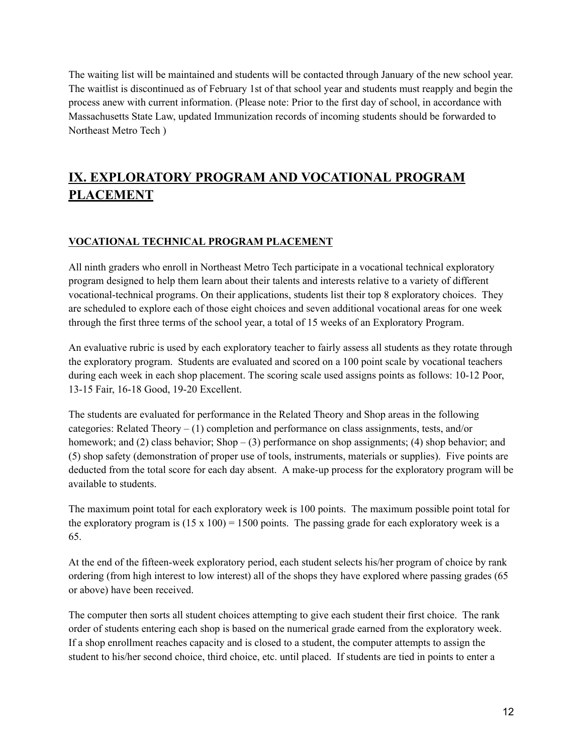The waiting list will be maintained and students will be contacted through January of the new school year. The waitlist is discontinued as of February 1st of that school year and students must reapply and begin the process anew with current information. (Please note: Prior to the first day of school, in accordance with Massachusetts State Law, updated Immunization records of incoming students should be forwarded to Northeast Metro Tech )

# **IX. EXPLORATORY PROGRAM AND VOCATIONAL PROGRAM PLACEMENT**

### **VOCATIONAL TECHNICAL PROGRAM PLACEMENT**

All ninth graders who enroll in Northeast Metro Tech participate in a vocational technical exploratory program designed to help them learn about their talents and interests relative to a variety of different vocational-technical programs. On their applications, students list their top 8 exploratory choices. They are scheduled to explore each of those eight choices and seven additional vocational areas for one week through the first three terms of the school year, a total of 15 weeks of an Exploratory Program.

An evaluative rubric is used by each exploratory teacher to fairly assess all students as they rotate through the exploratory program. Students are evaluated and scored on a 100 point scale by vocational teachers during each week in each shop placement. The scoring scale used assigns points as follows: 10-12 Poor, 13-15 Fair, 16-18 Good, 19-20 Excellent.

The students are evaluated for performance in the Related Theory and Shop areas in the following categories: Related Theory  $- (1)$  completion and performance on class assignments, tests, and/or homework; and (2) class behavior; Shop – (3) performance on shop assignments; (4) shop behavior; and (5) shop safety (demonstration of proper use of tools, instruments, materials or supplies). Five points are deducted from the total score for each day absent. A make-up process for the exploratory program will be available to students.

The maximum point total for each exploratory week is 100 points. The maximum possible point total for the exploratory program is  $(15 \times 100) = 1500$  points. The passing grade for each exploratory week is a 65.

At the end of the fifteen-week exploratory period, each student selects his/her program of choice by rank ordering (from high interest to low interest) all of the shops they have explored where passing grades (65 or above) have been received.

The computer then sorts all student choices attempting to give each student their first choice. The rank order of students entering each shop is based on the numerical grade earned from the exploratory week. If a shop enrollment reaches capacity and is closed to a student, the computer attempts to assign the student to his/her second choice, third choice, etc. until placed. If students are tied in points to enter a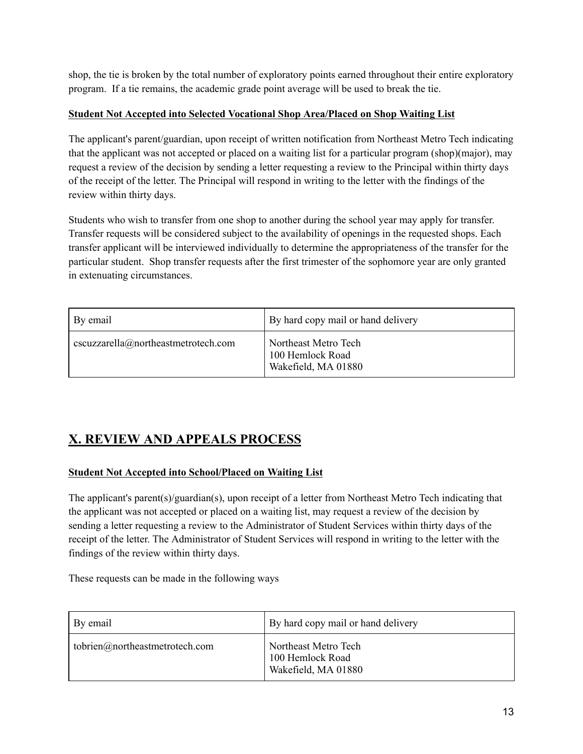shop, the tie is broken by the total number of exploratory points earned throughout their entire exploratory program. If a tie remains, the academic grade point average will be used to break the tie.

### **Student Not Accepted into Selected Vocational Shop Area/Placed on Shop Waiting List**

The applicant's parent/guardian, upon receipt of written notification from Northeast Metro Tech indicating that the applicant was not accepted or placed on a waiting list for a particular program (shop)(major), may request a review of the decision by sending a letter requesting a review to the Principal within thirty days of the receipt of the letter. The Principal will respond in writing to the letter with the findings of the review within thirty days.

Students who wish to transfer from one shop to another during the school year may apply for transfer. Transfer requests will be considered subject to the availability of openings in the requested shops. Each transfer applicant will be interviewed individually to determine the appropriateness of the transfer for the particular student. Shop transfer requests after the first trimester of the sophomore year are only granted in extenuating circumstances.

| By email                            | By hard copy mail or hand delivery                                |
|-------------------------------------|-------------------------------------------------------------------|
| cscuzzarella@northeastmetrotech.com | l Northeast Metro Tech<br>100 Hemlock Road<br>Wakefield, MA 01880 |

# **X. REVIEW AND APPEALS PROCESS**

## **Student Not Accepted into School/Placed on Waiting List**

The applicant's parent(s)/guardian(s), upon receipt of a letter from Northeast Metro Tech indicating that the applicant was not accepted or placed on a waiting list, may request a review of the decision by sending a letter requesting a review to the Administrator of Student Services within thirty days of the receipt of the letter. The Administrator of Student Services will respond in writing to the letter with the findings of the review within thirty days.

These requests can be made in the following ways

| By email                       | By hard copy mail or hand delivery                              |
|--------------------------------|-----------------------------------------------------------------|
| tobrien@northeastmetrotech.com | Northeast Metro Tech<br>100 Hemlock Road<br>Wakefield, MA 01880 |